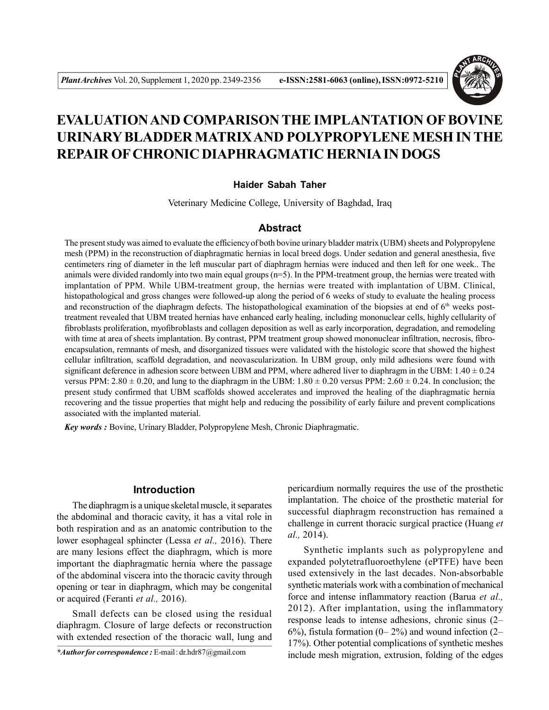

# **EVALUATION AND COMPARISON THE IMPLANTATION OF BOVINE URINARY BLADDER MATRIX AND POLYPROPYLENE MESH IN THE REPAIR OF CHRONIC DIAPHRAGMATIC HERNIA IN DOGS**

# **Haider Sabah Taher**

Veterinary Medicine College, University of Baghdad, Iraq

# **Abstract**

The present study was aimed to evaluate the efficiency of both bovine urinary bladder matrix (UBM) sheets and Polypropylene mesh (PPM) in the reconstruction of diaphragmatic hernias in local breed dogs. Under sedation and general anesthesia, five centimeters ring of diameter in the left muscular part of diaphragm hernias were induced and then left for one week.. The animals were divided randomly into two main equal groups (n=5). In the PPM-treatment group, the hernias were treated with implantation of PPM. While UBM-treatment group, the hernias were treated with implantation of UBM. Clinical, histopathological and gross changes were followed-up along the period of 6 weeks of study to evaluate the healing process and reconstruction of the diaphragm defects. The histopathological examination of the biopsies at end of  $6<sup>th</sup>$  weeks posttreatment revealed that UBM treated hernias have enhanced early healing, including mononuclear cells, highly cellularity of fibroblasts proliferation, myofibroblasts and collagen deposition as well as early incorporation, degradation, and remodeling with time at area of sheets implantation. By contrast, PPM treatment group showed mononuclear infiltration, necrosis, fibroencapsulation, remnants of mesh, and disorganized tissues were validated with the histologic score that showed the highest cellular infiltration, scaffold degradation, and neovascularization. In UBM group, only mild adhesions were found with significant deference in adhesion score between UBM and PPM, where adhered liver to diaphragm in the UBM:  $1.40 \pm 0.24$ versus PPM:  $2.80 \pm 0.20$ , and lung to the diaphragm in the UBM:  $1.80 \pm 0.20$  versus PPM:  $2.60 \pm 0.24$ . In conclusion; the present study confirmed that UBM scaffolds showed accelerates and improved the healing of the diaphragmatic hernia recovering and the tissue properties that might help and reducing the possibility of early failure and prevent complications associated with the implanted material.

*Key words :* Bovine, Urinary Bladder, Polypropylene Mesh, Chronic Diaphragmatic.

## **Introduction**

The diaphragm is a unique skeletal muscle, it separates the abdominal and thoracic cavity, it has a vital role in both respiration and as an anatomic contribution to the lower esophageal sphincter (Lessa *et al.,* 2016). There are many lesions effect the diaphragm, which is more important the diaphragmatic hernia where the passage of the abdominal viscera into the thoracic cavity through opening or tear in diaphragm, which may be congenital or acquired (Feranti *et al.,* 2016).

Small defects can be closed using the residual diaphragm. Closure of large defects or reconstruction with extended resection of the thoracic wall, lung and

*\*Author for correspondence :* E-mail : dr.hdr87@gmail.com

pericardium normally requires the use of the prosthetic implantation. The choice of the prosthetic material for successful diaphragm reconstruction has remained a challenge in current thoracic surgical practice (Huang *et al.,* 2014).

Synthetic implants such as polypropylene and expanded polytetrafluoroethylene (ePTFE) have been used extensively in the last decades. Non-absorbable synthetic materials work with a combination of mechanical force and intense inflammatory reaction (Barua *et al.,* 2012). After implantation, using the inflammatory response leads to intense adhesions, chronic sinus (2–  $6\%$ ), fistula formation  $(0-2\%)$  and wound infection  $(2-$ 17%). Other potential complications of synthetic meshes include mesh migration, extrusion, folding of the edges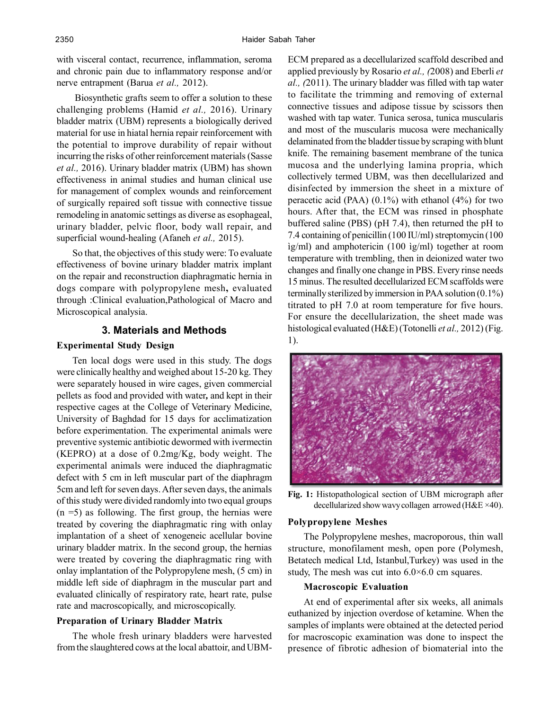with visceral contact, recurrence, inflammation, seroma and chronic pain due to inflammatory response and/or nerve entrapment (Barua *et al.,* 2012).

 Biosynthetic grafts seem to offer a solution to these challenging problems (Hamid *et al.,* 2016). Urinary bladder matrix (UBM) represents a biologically derived material for use in hiatal hernia repair reinforcement with the potential to improve durability of repair without incurring the risks of other reinforcement materials (Sasse *et al.,* 2016). Urinary bladder matrix (UBM) has shown effectiveness in animal studies and human clinical use for management of complex wounds and reinforcement of surgically repaired soft tissue with connective tissue remodeling in anatomic settings as diverse as esophageal, urinary bladder, pelvic floor, body wall repair, and superficial wound-healing (Afaneh *et al.,* 2015).

So that, the objectives of this study were: To evaluate effectiveness of bovine urinary bladder matrix implant on the repair and reconstruction diaphragmatic hernia in dogs compare with polypropylene mesh**,** evaluated through :Clinical evaluation,Pathological of Macro and Microscopical analysia.

# **3. Materials and Methods**

# **Experimental Study Design**

Ten local dogs were used in this study. The dogs were clinically healthy and weighed about 15-20 kg. They were separately housed in wire cages, given commercial pellets as food and provided with water*,* and kept in their respective cages at the College of Veterinary Medicine, University of Baghdad for 15 days for acclimatization before experimentation. The experimental animals were preventive systemic antibiotic dewormed with ivermectin (KEPRO) at a dose of 0.2mg/Kg, body weight. The experimental animals were induced the diaphragmatic defect with 5 cm in left muscular part of the diaphragm 5cm and left for seven days. After seven days, the animals of this study were divided randomly into two equal groups  $(n = 5)$  as following. The first group, the hernias were treated by covering the diaphragmatic ring with onlay implantation of a sheet of xenogeneic acellular bovine urinary bladder matrix. In the second group, the hernias were treated by covering the diaphragmatic ring with onlay implantation of the Polypropylene mesh, (5 cm) in middle left side of diaphragm in the muscular part and evaluated clinically of respiratory rate, heart rate, pulse rate and macroscopically, and microscopically.

# **Preparation of Urinary Bladder Matrix**

The whole fresh urinary bladders were harvested from the slaughtered cows at the local abattoir, and UBM- ECM prepared as a decellularized scaffold described and applied previously by Rosario *et al., (*2008) and Eberli *et al., (*2011). The urinary bladder was filled with tap water to facilitate the trimming and removing of external connective tissues and adipose tissue by scissors then washed with tap water. Tunica serosa, tunica muscularis and most of the muscularis mucosa were mechanically delaminated from the bladder tissue by scraping with blunt knife. The remaining basement membrane of the tunica mucosa and the underlying lamina propria, which collectively termed UBM, was then decellularized and disinfected by immersion the sheet in a mixture of peracetic acid (PAA) (0.1%) with ethanol (4%) for two hours. After that, the ECM was rinsed in phosphate buffered saline (PBS) (pH 7.4), then returned the pH to 7.4 containing of penicillin (100 IU/ml) streptomycin (100 ìg/ml) and amphotericin (100 ìg/ml) together at room temperature with trembling, then in deionized water two changes and finally one change in PBS. Every rinse needs 15 minus. The resulted decellularized ECM scaffolds were terminally sterilized by immersion in PAA solution (0.1%) titrated to pH 7.0 at room temperature for five hours. For ensure the decellularization, the sheet made was histological evaluated (H&E) (Totonelli *et al.,* 2012) (Fig. 1).



**Fig. 1:** Histopathological section of UBM micrograph after decellularized show wavy collagen arrowed (H&E  $\times$ 40).

#### **Polypropylene Meshes**

The Polypropylene meshes, macroporous, thin wall structure, monofilament mesh, open pore (Polymesh, Betatech medical Ltd, Istanbul,Turkey) was used in the study, The mesh was cut into  $6.0 \times 6.0$  cm squares.

# **Macroscopic Evaluation**

At end of experimental after six weeks, all animals euthanized by injection overdose of ketamine. When the samples of implants were obtained at the detected period for macroscopic examination was done to inspect the presence of fibrotic adhesion of biomaterial into the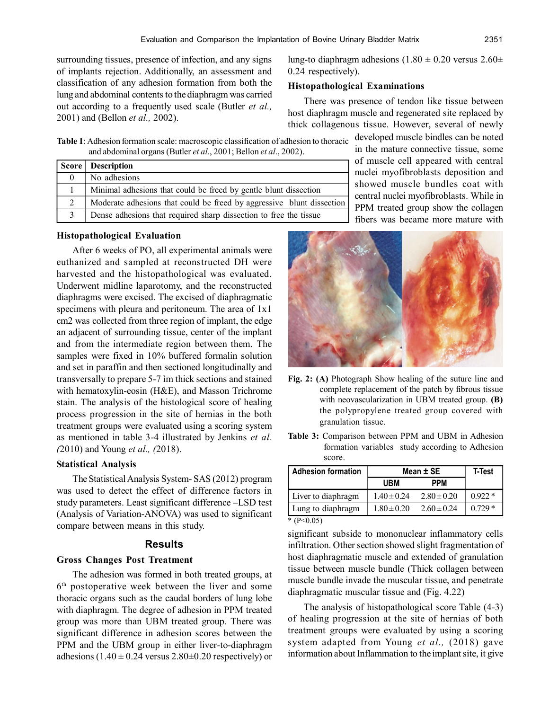surrounding tissues, presence of infection, and any signs of implants rejection. Additionally, an assessment and classification of any adhesion formation from both the lung and abdominal contents to the diaphragm was carried out according to a frequently used scale (Butler *et al.,* 2001) and (Bellon *et al.,* 2002).

**Table 1**: Adhesion formation scale: macroscopic classification of adhesion to thoracic developed muscle bindles can be noted and abdominal organs (Butler *et al*., 2001; Bellon *et al*., 2002).

|                             | <b>Score</b> Description                                              |
|-----------------------------|-----------------------------------------------------------------------|
| $\theta$                    | No adhesions                                                          |
|                             | Minimal adhesions that could be freed by gentle blunt dissection      |
| $\mathcal{D}_{\mathcal{L}}$ | Moderate adhesions that could be freed by aggressive blunt dissection |
| $\mathbf{R}$                | Dense adhesions that required sharp dissection to free the tissue     |

#### **Histopathological Evaluation**

After 6 weeks of PO, all experimental animals were euthanized and sampled at reconstructed DH were harvested and the histopathological was evaluated. Underwent midline laparotomy, and the reconstructed diaphragms were excised. The excised of diaphragmatic specimens with pleura and peritoneum. The area of 1x1 cm2 was collected from three region of implant, the edge an adjacent of surrounding tissue, center of the implant and from the intermediate region between them. The samples were fixed in 10% buffered formalin solution and set in paraffin and then sectioned longitudinally and transversally to prepare 5-7 ìm thick sections and stained with hematoxylin-eosin (H&E), and Masson Trichrome stain. The analysis of the histological score of healing process progression in the site of hernias in the both treatment groups were evaluated using a scoring system as mentioned in table 3-4 illustrated by Jenkins *et al. (*2010) and Young *et al., (*2018).

### **Statistical Analysis**

The Statistical Analysis System- SAS (2012) program was used to detect the effect of difference factors in study parameters. Least significant difference –LSD test (Analysis of Variation-ANOVA) was used to significant compare between means in this study.

#### **Results**

#### **Gross Changes Post Treatment**

The adhesion was formed in both treated groups, at 6 th postoperative week between the liver and some thoracic organs such as the caudal borders of lung lobe with diaphragm. The degree of adhesion in PPM treated group was more than UBM treated group. There was significant difference in adhesion scores between the PPM and the UBM group in either liver-to-diaphragm adhesions (1.40  $\pm$  0.24 versus 2.80 $\pm$ 0.20 respectively) or lung-to diaphragm adhesions (1.80  $\pm$  0.20 versus 2.60 $\pm$ 0.24 respectively).

#### **Histopathological Examinations**

There was presence of tendon like tissue between host diaphragm muscle and regenerated site replaced by thick collagenous tissue. However, several of newly

> in the mature connective tissue, some of muscle cell appeared with central nuclei myofibroblasts deposition and showed muscle bundles coat with central nuclei myofibroblasts. While in PPM treated group show the collagen fibers was became more mature with



- **Fig. 2: (A)** Photograph Show healing of the suture line and complete replacement of the patch by fibrous tissue with neovascularization in UBM treated group. **(B)** the polypropylene treated group covered with granulation tissue.
- **Table 3:** Comparison between PPM and UBM in Adhesion formation variables study according to Adhesion score.

| <b>Adhesion formation</b> | Mean $\pm$ SE   | T-Test          |          |
|---------------------------|-----------------|-----------------|----------|
|                           | <b>UBM</b>      | <b>PPM</b>      |          |
| Liver to diaphragm        | $1.40 \pm 0.24$ | $2.80 \pm 0.20$ | $0.922*$ |
| Lung to diaphragm         | $1.80 \pm 0.20$ | $2.60 \pm 0.24$ | $0.729*$ |
|                           |                 |                 |          |

significant subside to mononuclear inflammatory cells infiltration. Other section showed slight fragmentation of host diaphragmatic muscle and extended of granulation tissue between muscle bundle (Thick collagen between muscle bundle invade the muscular tissue, and penetrate diaphragmatic muscular tissue and (Fig. 4.22)

The analysis of histopathological score Table (4-3) of healing progression at the site of hernias of both treatment groups were evaluated by using a scoring system adapted from Young *et al.,* (2018) gave information about Inflammation to the implant site, it give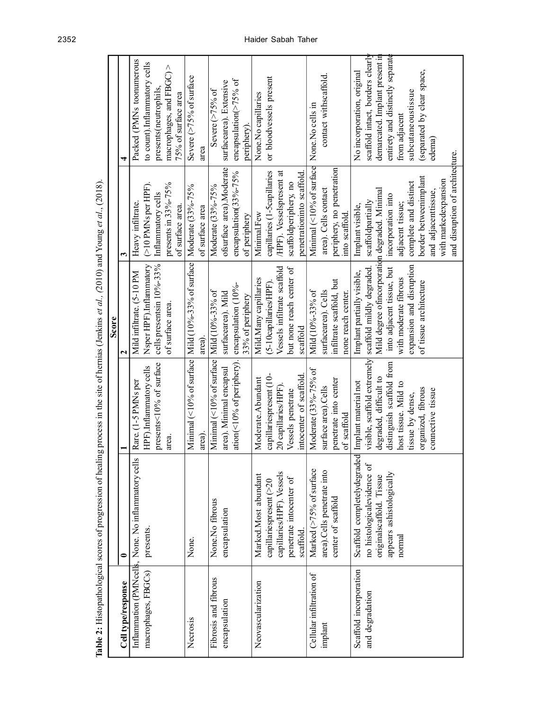|                          |                                                     |                                                       | <b>Score</b>                                                            |                                |                                  |
|--------------------------|-----------------------------------------------------|-------------------------------------------------------|-------------------------------------------------------------------------|--------------------------------|----------------------------------|
| Cell type/response       | 0                                                   |                                                       | $\mathbf{\tilde{c}}$                                                    |                                | 4                                |
|                          | Inflammation (PMNcells, None. No inflammatory cells | Rare. (1-5 PMNs per                                   | Mild infiltrate. (5-10 PM                                               | Heavy infiltrate.              | Packed (PMNs toonumerous         |
| macrophages, FBGCs)      | presents.                                           | HPF).Inflammatory cells                               | Nsper HPF).Inflammatory                                                 | (>10 PMNs per HPF)             | to count).Inflammatory cells     |
|                          |                                                     | presents<10% of surface                               | cells presentsin 10%-33%                                                | Inflammatory cells             | presents(neutrophils,            |
|                          |                                                     | area.                                                 | of surface area.                                                        | presents in $33\% - 75\%$      | macrophages, and $FBGC$ ) >      |
|                          |                                                     |                                                       |                                                                         | of surface area                | 75% of surface area              |
| Necrosis                 | None.                                               |                                                       | Minimal (<10% of surface   Mild (10%-33% of surface   Moderate (33%-75% |                                | Severe (>75% of surface          |
|                          |                                                     | area)                                                 | area)                                                                   | of surface area                | area                             |
| Fibrosis and fibrous     | None.No fibrous                                     | Minimal (<10% of surface   Mild (10%-33% of           |                                                                         | Moderate (33%-75%              | Severe $($ >75% of               |
| encapsulation            | encapsulation                                       | area). Minimal encapsul                               | surfacearea). Mild                                                      | ofsurface area).Moderate       | surfacearea). Extensive          |
|                          |                                                     | ation(<10% of periphery).                             | encapsulation (10%-                                                     | encapsulation(33%-75%          | encapsulation( $>75%$ of         |
|                          |                                                     |                                                       | 33% of periphery                                                        | of periphery                   | periphery)                       |
| Neovascularization       | Marked.Most abundant                                | Moderate.Abundant                                     | Mild.Many capillaries                                                   | Minimal.Few                    | None.No capillaries              |
|                          | capillariespresent (>20                             | capillariespresent (10-                               | (5-10capillaries/HPF)                                                   | capillaries (1-5 capillaries   | or bloodvessels present          |
|                          | capillaries/HPF). Vessels                           | 20 capillaries/HPF)                                   | Vessels infiltrate scaffold                                             | /HPF). Vesselspresent at       |                                  |
|                          | penetrate intocenter of                             | Vessels penetrate                                     | but none reach center of                                                | scaffoldperiphery, no          |                                  |
|                          | scaffold.                                           | intocenter of scaffold                                | scaffold                                                                | penetrationinto scaffold.      |                                  |
| Cellular infiltration of | Marked (>75% of surface                             | Moderate (33%-75% of                                  | Mild (10%-33% of                                                        | Minimal (<10% of surface       | None.No cells in                 |
| implant                  | area).Cells penetrate into                          | surface area).Cells                                   | surfacearea). Cells                                                     | area). Cells contact           | contact withscaffold.            |
|                          | center of scaffold                                  | penetrate into center                                 | infiltrate scaffold, but                                                | periphery, no penetration      |                                  |
|                          |                                                     | of scaffold                                           | none reach center.                                                      | into scaffold                  |                                  |
| Scaffold incorporation   | Scaffold completelydegraded                         | Implant material not                                  | Implant partially visible,                                              | Implant visible,               | No incorporation, original       |
| and degradation          | no histologicalevidence of                          | visible, scaffold extremely scaffold mildly degraded. |                                                                         | scaffoldpartially              | scaffold intact, borders clearly |
|                          | originalscaffold. Tissue                            | degraded, difficult to                                | Mild degree ofincorporation degraded. Minimal                           |                                | demarcated. Implant present in   |
|                          | appears ashistologically                            | distinguish scaffold from                             | into adjacent tissue, but                                               | incorporation into             | entirety and distinctly separate |
|                          | normal                                              | host tissue. Mild to                                  | with moderate fibrous                                                   | adjacent tissue;               | from adjacent                    |
|                          |                                                     | tissue by dense,                                      | expansion and disruption                                                | complete and distinct          | subcutaneoustissue               |
|                          |                                                     | organized, fibrous                                    | of tissue architecture                                                  | border betweenimplant          | (separated by clear space,       |
|                          |                                                     | connective tissue                                     |                                                                         | and adjacenttissue,            | $\alpha$ ema $)$                 |
|                          |                                                     |                                                       |                                                                         | with markedexpansion           |                                  |
|                          |                                                     |                                                       |                                                                         | and disruption of architedure. |                                  |

Table 2: Histopathological scores of progression of healing process in the site of hermias (Jenkins et al., (2010) and Young et al., (2018). **Table 2:** Histopathological scores of progression of healing process in the site of hernias (Jenkins *et al., (*2010) and Young *et al*., (2018).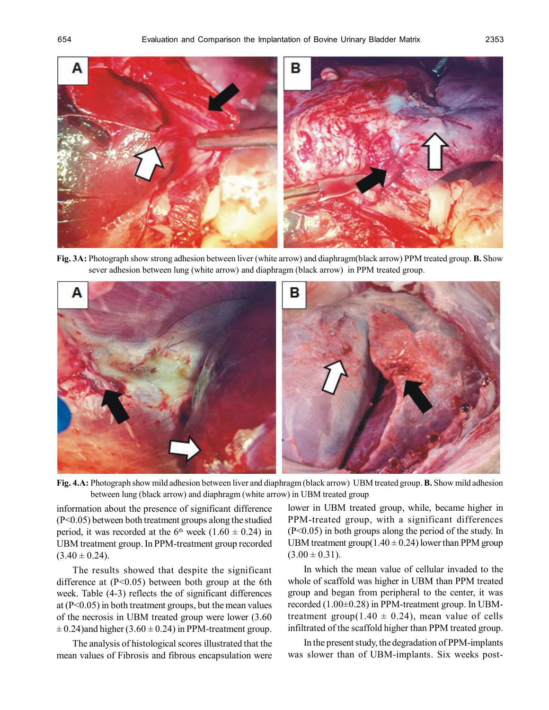

**Fig. 3A:** Photograph show strong adhesion between liver (white arrow) and diaphragm(black arrow) PPM treated group. **B.** Show sever adhesion between lung (white arrow) and diaphragm (black arrow) in PPM treated group.



**Fig. 4.A:** Photograph show mild adhesion between liver and diaphragm (black arrow) UBM treated group. **B.** Show mild adhesion between lung (black arrow) and diaphragm (white arrow) in UBM treated group

information about the presence of significant difference (P<0.05) between both treatment groups along the studied period, it was recorded at the 6<sup>th</sup> week (1.60  $\pm$  0.24) in UBM treatment group. In PPM-treatment group recorded  $(3.40 \pm 0.24)$ .

The results showed that despite the significant difference at  $(P<0.05)$  between both group at the 6th week. Table (4-3) reflects the of significant differences at  $(P<0.05)$  in both treatment groups, but the mean values of the necrosis in UBM treated group were lower (3.60  $\pm$  0.24)and higher (3.60  $\pm$  0.24) in PPM-treatment group.

The analysis of histological scores illustrated that the mean values of Fibrosis and fibrous encapsulation were

lower in UBM treated group, while, became higher in PPM-treated group, with a significant differences (P<0.05) in both groups along the period of the study. In UBM treatment group( $1.40 \pm 0.24$ ) lower than PPM group  $(3.00 \pm 0.31)$ .

In which the mean value of cellular invaded to the whole of scaffold was higher in UBM than PPM treated group and began from peripheral to the center, it was recorded (1.00±0.28) in PPM-treatment group. In UBMtreatment group(1.40  $\pm$  0.24), mean value of cells infiltrated of the scaffold higher than PPM treated group.

In the present study, the degradation of PPM-implants was slower than of UBM-implants. Six weeks post-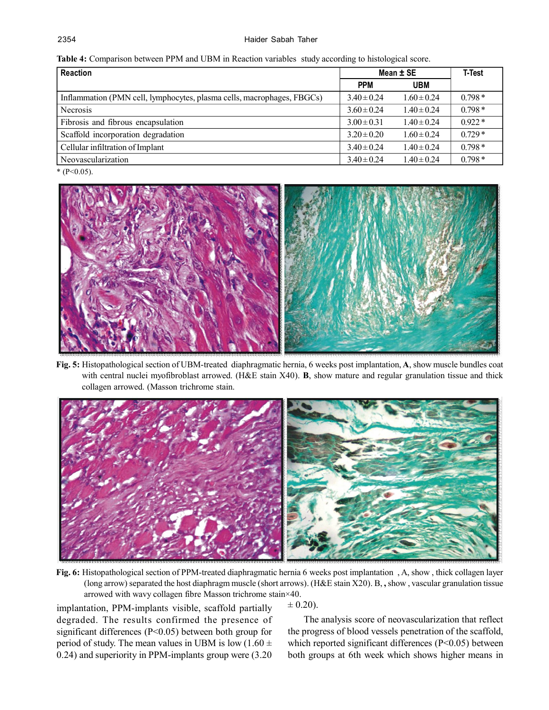| <b>Reaction</b>                                                        | Mean $\pm$ SE   |                 | T-Test   |
|------------------------------------------------------------------------|-----------------|-----------------|----------|
|                                                                        | <b>PPM</b>      | <b>UBM</b>      |          |
| Inflammation (PMN cell, lymphocytes, plasma cells, macrophages, FBGCs) | $3.40 \pm 0.24$ | $1.60 \pm 0.24$ | $0.798*$ |
| <b>Necrosis</b>                                                        | $3.60 \pm 0.24$ | $1.40 \pm 0.24$ | $0.798*$ |
| Fibrosis and fibrous encapsulation                                     | $3.00 \pm 0.31$ | $1.40 \pm 0.24$ | $0.922*$ |
| Scaffold incorporation degradation                                     | $3.20 \pm 0.20$ | $1.60 \pm 0.24$ | $0.729*$ |
| Cellular infiltration of Implant                                       | $3.40 \pm 0.24$ | $1.40 \pm 0.24$ | $0.798*$ |
| Neovascularization                                                     | $3.40 \pm 0.24$ | $1.40 \pm 0.24$ | $0.798*$ |

**Table 4:** Comparison between PPM and UBM in Reaction variables study according to histological score.

 $*$  (P<0.05).



**Fig. 5:** Histopathological section of UBM-treated diaphragmatic hernia, 6 weeks post implantation, **A**, show muscle bundles coat with central nuclei myofibroblast arrowed. (H&E stain X40). **B**, show mature and regular granulation tissue and thick collagen arrowed. (Masson trichrome stain.



**Fig. 6:** Histopathological section of PPM-treated diaphragmatic hernia 6 weeks post implantation , A, show , thick collagen layer (long arrow) separated the host diaphragm muscle (short arrows). (H&E stain X20). B, **,** show , vascular granulation tissue arrowed with wavy collagen fibre Masson trichrome stain×40.

implantation, PPM-implants visible, scaffold partially degraded. The results confirmed the presence of significant differences (P<0.05) between both group for period of study. The mean values in UBM is low  $(1.60 \pm$ 0.24) and superiority in PPM-implants group were (3.20

 $\pm$  0.20).

The analysis score of neovascularization that reflect the progress of blood vessels penetration of the scaffold, which reported significant differences  $(P<0.05)$  between both groups at 6th week which shows higher means in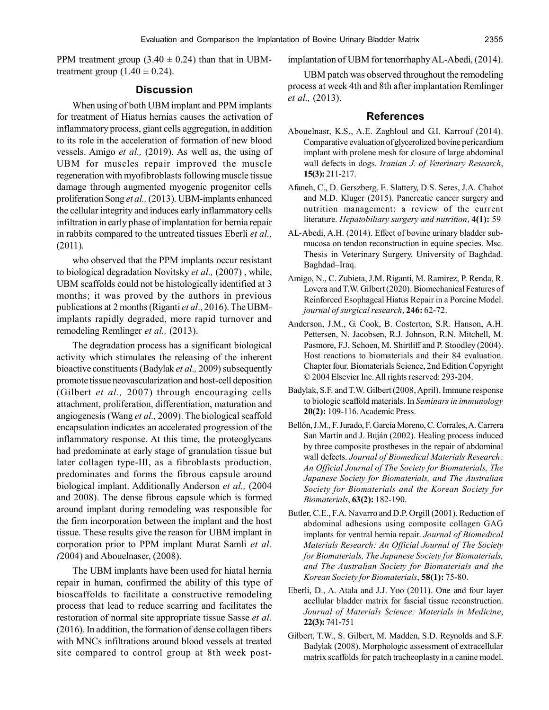PPM treatment group  $(3.40 \pm 0.24)$  than that in UBMtreatment group  $(1.40 \pm 0.24)$ .

# **Discussion**

When using of both UBM implant and PPM implants for treatment of Hiatus hernias causes the activation of inflammatory process, giant cells aggregation, in addition to its role in the acceleration of formation of new blood vessels. Amigo *et al.,* (2019). As well as, the using of UBM for muscles repair improved the muscle regeneration with myofibroblasts following muscle tissue damage through augmented myogenic progenitor cells proliferation Song *et al.,* (2013). UBM-implants enhanced the cellular integrity and induces early inflammatory cells infiltration in early phase of implantation for hernia repair in rabbits compared to the untreated tissues Eberli *et al.,* (2011).

who observed that the PPM implants occur resistant to biological degradation Novitsky *et al.,* (2007) , while, UBM scaffolds could not be histologically identified at 3 months; it was proved by the authors in previous publications at 2 months(Riganti *et al*., 2016). The UBMimplants rapidly degraded, more rapid turnover and remodeling Remlinger *et al.,* (2013).

The degradation process has a significant biological activity which stimulates the releasing of the inherent bioactive constituents (Badylak *et al.,* 2009) subsequently promote tissue neovascularization and host-cell deposition (Gilbert *et al.,* 2007) through encouraging cells attachment, proliferation, differentiation, maturation and angiogenesis (Wang *et al.,* 2009). The biological scaffold encapsulation indicates an accelerated progression of the inflammatory response. At this time, the proteoglycans had predominate at early stage of granulation tissue but later collagen type-III, as a fibroblasts production, predominates and forms the fibrous capsule around biological implant. Additionally Anderson *et al.,* (2004 and 2008). The dense fibrous capsule which is formed around implant during remodeling was responsible for the firm incorporation between the implant and the host tissue. These results give the reason for UBM implant in corporation prior to PPM implant Murat Samli *et al. (*2004) and Abouelnaser, (2008).

The UBM implants have been used for hiatal hernia repair in human, confirmed the ability of this type of bioscaffolds to facilitate a constructive remodeling process that lead to reduce scarring and facilitates the restoration of normal site appropriate tissue Sasse *et al.* (2016). In addition, the formation of dense collagen fibers with MNCs infiltrations around blood vessels at treated site compared to control group at 8th week postimplantation of UBM for tenorrhaphy AL-Abedi, (2014).

UBM patch was observed throughout the remodeling process at week 4th and 8th after implantation Remlinger *et al.,* (2013).

## **References**

- Abouelnasr, K.S., A.E. Zaghloul and G.I. Karrouf (2014). Comparative evaluation of glycerolized bovine pericardium implant with prolene mesh for closure of large abdominal wall defects in dogs. *Iranian J. of Veterinary Research*, **15(3):** 211-217.
- Afaneh, C., D. Gerszberg, E. Slattery, D.S. Seres, J.A. Chabot and M.D. Kluger (2015). Pancreatic cancer surgery and nutrition management: a review of the current literature. *Hepatobiliary surgery and nutrition*, **4(1):** 59
- AL-Abedi, A.H. (2014). Effect of bovine urinary bladder submucosa on tendon reconstruction in equine species. Msc. Thesis in Veterinary Surgery. University of Baghdad. Baghdad–Iraq.
- Amigo, N., C. Zubieta, J.M. Riganti, M. Ramirez, P. Renda, R. Lovera and T.W. Gilbert (2020). Biomechanical Features of Reinforced Esophageal Hiatus Repair in a Porcine Model. *journal of surgical research*, **246:** 62-72.
- Anderson, J.M., G. Cook, B. Costerton, S.R. Hanson, A.H. Pettersen, N. Jacobsen, R.J. Johnson, R.N. Mitchell, M. Pasmore, F.J. Schoen, M. Shirtliff and P. Stoodley (2004). Host reactions to biomaterials and their 84 evaluation. Chapter four. Biomaterials Science, 2nd Edition Copyright © 2004 Elsevier Inc. All rights reserved: 293-204.
- Badylak, S.F. and T.W. Gilbert (2008, April). Immune response to biologic scaffold materials. In *Seminars in immunology* **20(2):** 109-116. Academic Press.
- Bellón, J.M., F. Jurado, F. García Moreno, C. Corrales, A. Carrera San Martín and J. Buján (2002). Healing process induced by three composite prostheses in the repair of abdominal wall defects. *Journal of Biomedical Materials Research: An Official Journal of The Society for Biomaterials, The Japanese Society for Biomaterials, and The Australian Society for Biomaterials and the Korean Society for Biomaterials*, **63(2):** 182-190.
- Butler, C.E., F.A. Navarro and D.P. Orgill (2001). Reduction of abdominal adhesions using composite collagen GAG implants for ventral hernia repair. *Journal of Biomedical Materials Research: An Official Journal of The Society for Biomaterials, The Japanese Society for Biomaterials, and The Australian Society for Biomaterials and the Korean Society for Biomaterials*, **58(1):** 75-80.
- Eberli, D., A. Atala and J.J. Yoo (2011). One and four layer acellular bladder matrix for fascial tissue reconstruction. *Journal of Materials Science: Materials in Medicine*, **22(3):** 741-751
- Gilbert, T.W., S. Gilbert, M. Madden, S.D. Reynolds and S.F. Badylak (2008). Morphologic assessment of extracellular matrix scaffolds for patch tracheoplasty in a canine model.